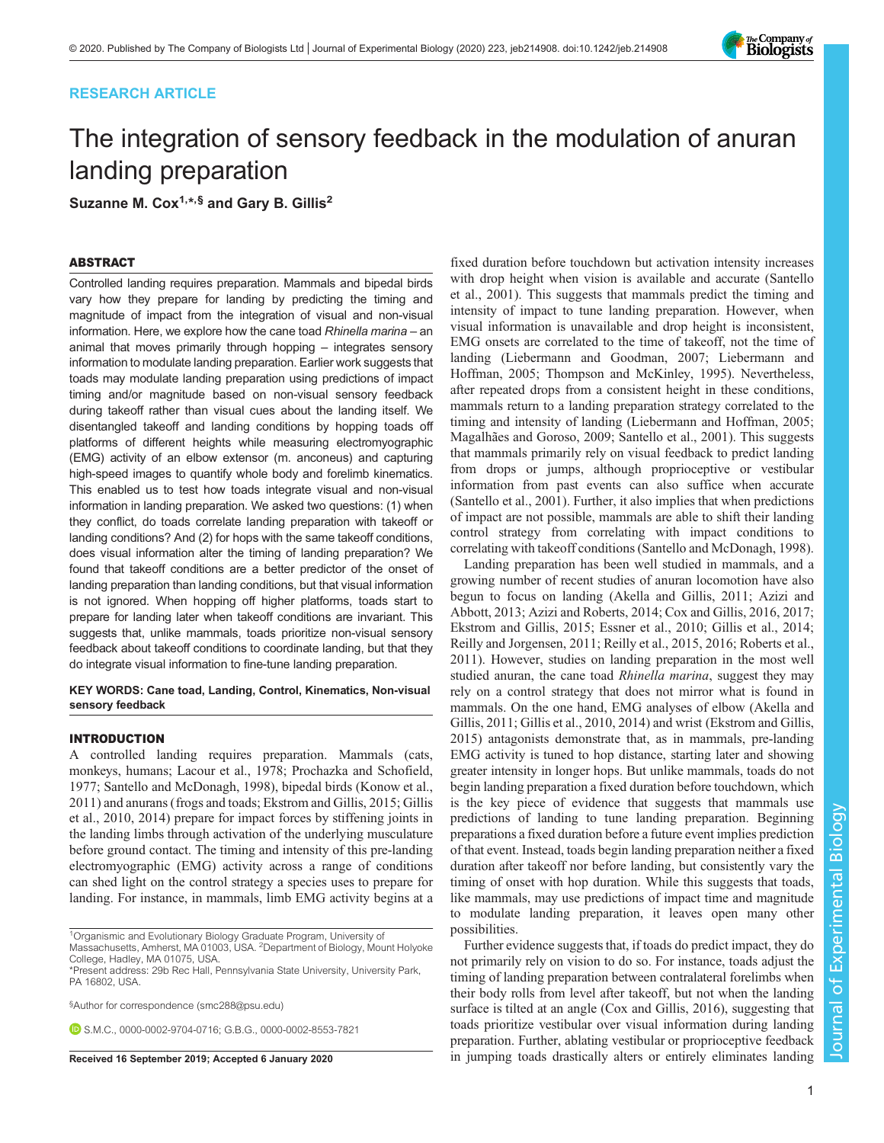# RESEARCH ARTICLE

# The integration of sensory feedback in the modulation of anuran landing preparation

Suzanne M. Cox $1,*,\$ § and Gary B. Gillis<sup>2</sup>

# ABSTRACT

Controlled landing requires preparation. Mammals and bipedal birds vary how they prepare for landing by predicting the timing and magnitude of impact from the integration of visual and non-visual information. Here, we explore how the cane toad Rhinella marina – an animal that moves primarily through hopping – integrates sensory information to modulate landing preparation. Earlier work suggests that toads may modulate landing preparation using predictions of impact timing and/or magnitude based on non-visual sensory feedback during takeoff rather than visual cues about the landing itself. We disentangled takeoff and landing conditions by hopping toads off platforms of different heights while measuring electromyographic (EMG) activity of an elbow extensor (m. anconeus) and capturing high-speed images to quantify whole body and forelimb kinematics. This enabled us to test how toads integrate visual and non-visual information in landing preparation. We asked two questions: (1) when they conflict, do toads correlate landing preparation with takeoff or landing conditions? And (2) for hops with the same takeoff conditions, does visual information alter the timing of landing preparation? We found that takeoff conditions are a better predictor of the onset of landing preparation than landing conditions, but that visual information is not ignored. When hopping off higher platforms, toads start to prepare for landing later when takeoff conditions are invariant. This suggests that, unlike mammals, toads prioritize non-visual sensory feedback about takeoff conditions to coordinate landing, but that they do integrate visual information to fine-tune landing preparation.

## KEY WORDS: Cane toad, Landing, Control, Kinematics, Non-visual sensory feedback

# INTRODUCTION

A controlled landing requires preparation. Mammals (cats, monkeys, humans; [Lacour et al., 1978](#page-8-0); Prochazka and Schofield, 1977; [Santello and McDonagh, 1998](#page-8-0)), bipedal birds ([Konow et al.,](#page-8-0) [2011](#page-8-0)) and anurans (frogs and toads; [Ekstrom and Gillis, 2015; Gillis](#page-8-0) [et al., 2010, 2014\)](#page-8-0) prepare for impact forces by stiffening joints in the landing limbs through activation of the underlying musculature before ground contact. The timing and intensity of this pre-landing electromyographic (EMG) activity across a range of conditions can shed light on the control strategy a species uses to prepare for landing. For instance, in mammals, limb EMG activity begins at a

<sup>1</sup>Organismic and Evolutionary Biology Graduate Program, University of Massachusetts, Amherst, MA 01003, USA. <sup>2</sup>Department of Biology, Mount Holyoke

§ Author for correspondence ([smc288@psu.edu](mailto:smc288@psu.edu))

**D.S.M.C., [0000-0002-9704-0716;](http://orcid.org/0000-0002-9704-0716) G.B.G., [0000-0002-8553-7821](http://orcid.org/0000-0002-8553-7821)** 

fixed duration before touchdown but activation intensity increases with drop height when vision is available and accurate [\(Santello](#page-8-0) [et al., 2001](#page-8-0)). This suggests that mammals predict the timing and intensity of impact to tune landing preparation. However, when visual information is unavailable and drop height is inconsistent, EMG onsets are correlated to the time of takeoff, not the time of landing [\(Liebermann and Goodman, 2007; Liebermann and](#page-8-0) [Hoffman, 2005](#page-8-0); [Thompson and McKinley, 1995\)](#page-9-0). Nevertheless, after repeated drops from a consistent height in these conditions, mammals return to a landing preparation strategy correlated to the timing and intensity of landing [\(Liebermann and Hoffman, 2005](#page-8-0); [Magalhães and Goroso, 2009](#page-8-0); [Santello et al., 2001\)](#page-8-0). This suggests that mammals primarily rely on visual feedback to predict landing from drops or jumps, although proprioceptive or vestibular information from past events can also suffice when accurate [\(Santello et al., 2001\)](#page-8-0). Further, it also implies that when predictions of impact are not possible, mammals are able to shift their landing control strategy from correlating with impact conditions to correlating with takeoff conditions ([Santello and McDonagh, 1998\)](#page-8-0).

Landing preparation has been well studied in mammals, and a growing number of recent studies of anuran locomotion have also begun to focus on landing [\(Akella and Gillis, 2011; Azizi and](#page-8-0) [Abbott, 2013; Azizi and Roberts, 2014](#page-8-0); [Cox and Gillis, 2016](#page-8-0), [2017](#page-8-0); [Ekstrom and Gillis, 2015](#page-8-0); [Essner et al., 2010](#page-8-0); [Gillis et al., 2014](#page-8-0); [Reilly and Jorgensen, 2011; Reilly et al., 2015](#page-8-0), [2016; Roberts et al.,](#page-8-0) [2011\)](#page-8-0). However, studies on landing preparation in the most well studied anuran, the cane toad Rhinella marina, suggest they may rely on a control strategy that does not mirror what is found in mammals. On the one hand, EMG analyses of elbow [\(Akella and](#page-8-0) [Gillis, 2011](#page-8-0); [Gillis et al., 2010](#page-8-0), [2014](#page-8-0)) and wrist ([Ekstrom and Gillis,](#page-8-0) [2015\)](#page-8-0) antagonists demonstrate that, as in mammals, pre-landing EMG activity is tuned to hop distance, starting later and showing greater intensity in longer hops. But unlike mammals, toads do not begin landing preparation a fixed duration before touchdown, which is the key piece of evidence that suggests that mammals use predictions of landing to tune landing preparation. Beginning preparations a fixed duration before a future event implies prediction of that event. Instead, toads begin landing preparation neither a fixed duration after takeoff nor before landing, but consistently vary the timing of onset with hop duration. While this suggests that toads, like mammals, may use predictions of impact time and magnitude to modulate landing preparation, it leaves open many other possibilities.

Further evidence suggests that, if toads do predict impact, they do not primarily rely on vision to do so. For instance, toads adjust the timing of landing preparation between contralateral forelimbs when their body rolls from level after takeoff, but not when the landing surface is tilted at an angle [\(Cox and Gillis, 2016\)](#page-8-0), suggesting that toads prioritize vestibular over visual information during landing preparation. Further, ablating vestibular or proprioceptive feedback Received 16 September 2019; Accepted 6 January 2020 in jumping toads drastically alters or entirely eliminates landing





College, Hadley, MA 01075, USA.

<sup>\*</sup>Present address: 29b Rec Hall, Pennsylvania State University, University Park, PA 16802, USA.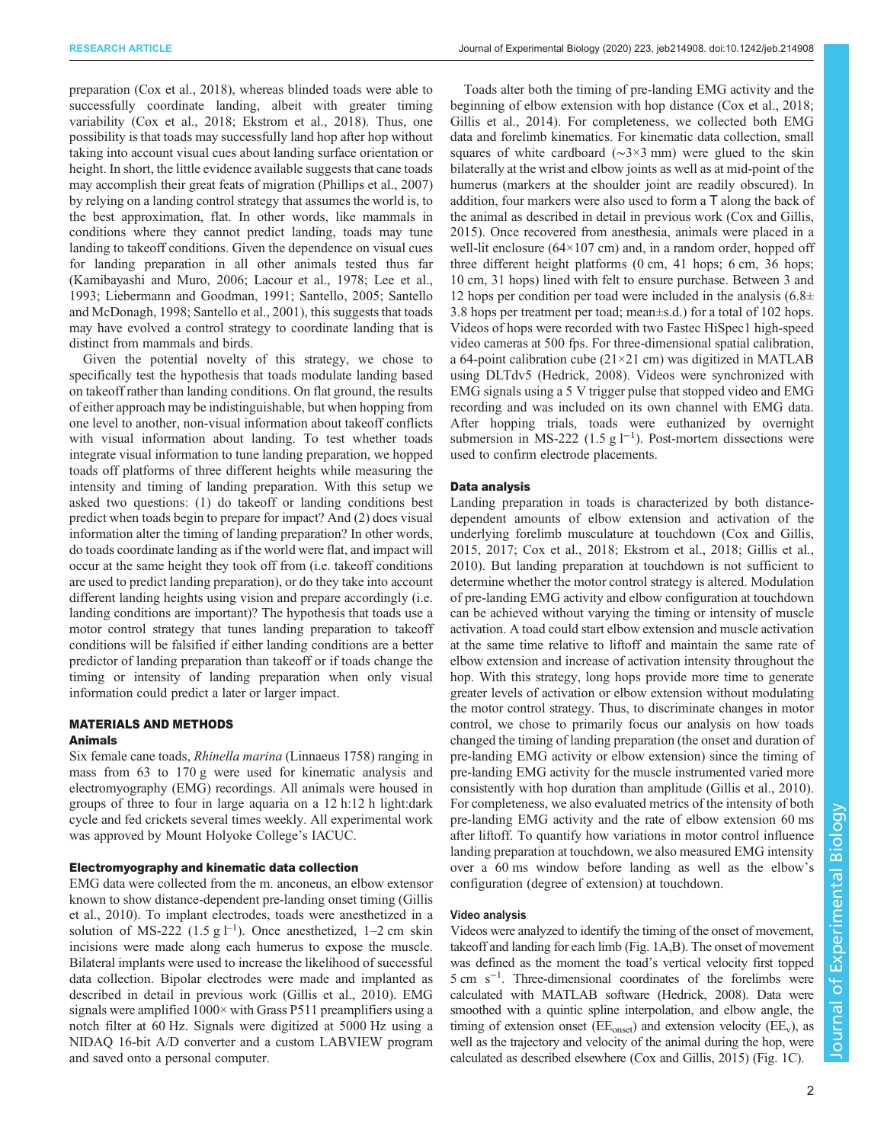preparation [\(Cox et al., 2018\)](#page-8-0), whereas blinded toads were able to successfully coordinate landing, albeit with greater timing variability [\(Cox et al., 2018; Ekstrom et al., 2018](#page-8-0)). Thus, one possibility is that toads may successfully land hop after hop without taking into account visual cues about landing surface orientation or height. In short, the little evidence available suggests that cane toads may accomplish their great feats of migration ([Phillips et al., 2007\)](#page-8-0) by relying on a landing control strategy that assumes the world is, to the best approximation, flat. In other words, like mammals in conditions where they cannot predict landing, toads may tune landing to takeoff conditions. Given the dependence on visual cues for landing preparation in all other animals tested thus far [\(Kamibayashi and Muro, 2006](#page-8-0); [Lacour et al., 1978](#page-8-0); [Lee et al.,](#page-8-0) [1993](#page-8-0); [Liebermann and Goodman, 1991](#page-8-0); [Santello, 2005](#page-8-0); [Santello](#page-8-0) [and McDonagh, 1998; Santello et al., 2001\)](#page-8-0), this suggests that toads may have evolved a control strategy to coordinate landing that is distinct from mammals and birds.

Given the potential novelty of this strategy, we chose to specifically test the hypothesis that toads modulate landing based on takeoff rather than landing conditions. On flat ground, the results of either approach may be indistinguishable, but when hopping from one level to another, non-visual information about takeoff conflicts with visual information about landing. To test whether toads integrate visual information to tune landing preparation, we hopped toads off platforms of three different heights while measuring the intensity and timing of landing preparation. With this setup we asked two questions: (1) do takeoff or landing conditions best predict when toads begin to prepare for impact? And (2) does visual information alter the timing of landing preparation? In other words, do toads coordinate landing as if the world were flat, and impact will occur at the same height they took off from (i.e. takeoff conditions are used to predict landing preparation), or do they take into account different landing heights using vision and prepare accordingly (i.e. landing conditions are important)? The hypothesis that toads use a motor control strategy that tunes landing preparation to takeoff conditions will be falsified if either landing conditions are a better predictor of landing preparation than takeoff or if toads change the timing or intensity of landing preparation when only visual information could predict a later or larger impact.

# MATERIALS AND METHODS

# Animals

Six female cane toads, Rhinella marina (Linnaeus 1758) ranging in mass from 63 to 170 g were used for kinematic analysis and electromyography (EMG) recordings. All animals were housed in groups of three to four in large aquaria on a 12 h:12 h light:dark cycle and fed crickets several times weekly. All experimental work was approved by Mount Holyoke College's IACUC.

## Electromyography and kinematic data collection

EMG data were collected from the m. anconeus, an elbow extensor known to show distance-dependent pre-landing onset timing [\(Gillis](#page-8-0) [et al., 2010](#page-8-0)). To implant electrodes, toads were anesthetized in a solution of MS-222 (1.5 g  $l^{-1}$ ). Once anesthetized, 1–2 cm skin incisions were made along each humerus to expose the muscle. Bilateral implants were used to increase the likelihood of successful data collection. Bipolar electrodes were made and implanted as described in detail in previous work ([Gillis et al., 2010](#page-8-0)). EMG signals were amplified 1000× with Grass P511 preamplifiers using a notch filter at 60 Hz. Signals were digitized at 5000 Hz using a NIDAQ 16-bit A/D converter and a custom LABVIEW program and saved onto a personal computer.

Toads alter both the timing of pre-landing EMG activity and the beginning of elbow extension with hop distance [\(Cox et al., 2018](#page-8-0); [Gillis et al., 2014](#page-8-0)). For completeness, we collected both EMG data and forelimb kinematics. For kinematic data collection, small squares of white cardboard (∼3×3 mm) were glued to the skin bilaterally at the wrist and elbow joints as well as at mid-point of the humerus (markers at the shoulder joint are readily obscured). In addition, four markers were also used to form a T along the back of the animal as described in detail in previous work [\(Cox and Gillis,](#page-8-0) [2015\)](#page-8-0). Once recovered from anesthesia, animals were placed in a well-lit enclosure  $(64\times107 \text{ cm})$  and, in a random order, hopped off three different height platforms (0 cm, 41 hops; 6 cm, 36 hops; 10 cm, 31 hops) lined with felt to ensure purchase. Between 3 and 12 hops per condition per toad were included in the analysis  $(6.8\pm$ 3.8 hops per treatment per toad; mean±s.d.) for a total of 102 hops. Videos of hops were recorded with two Fastec HiSpec1 high-speed video cameras at 500 fps. For three-dimensional spatial calibration, a 64-point calibration cube (21×21 cm) was digitized in MATLAB using DLTdv5 ([Hedrick, 2008](#page-8-0)). Videos were synchronized with EMG signals using a 5 V trigger pulse that stopped video and EMG recording and was included on its own channel with EMG data. After hopping trials, toads were euthanized by overnight submersion in MS-222 (1.5 g  $l^{-1}$ ). Post-mortem dissections were used to confirm electrode placements.

### Data analysis

Landing preparation in toads is characterized by both distancedependent amounts of elbow extension and activation of the underlying forelimb musculature at touchdown [\(Cox and Gillis,](#page-8-0) [2015, 2017; Cox et al., 2018; Ekstrom et al., 2018; Gillis et al.,](#page-8-0) [2010\)](#page-8-0). But landing preparation at touchdown is not sufficient to determine whether the motor control strategy is altered. Modulation of pre-landing EMG activity and elbow configuration at touchdown can be achieved without varying the timing or intensity of muscle activation. A toad could start elbow extension and muscle activation at the same time relative to liftoff and maintain the same rate of elbow extension and increase of activation intensity throughout the hop. With this strategy, long hops provide more time to generate greater levels of activation or elbow extension without modulating the motor control strategy. Thus, to discriminate changes in motor control, we chose to primarily focus our analysis on how toads changed the timing of landing preparation (the onset and duration of pre-landing EMG activity or elbow extension) since the timing of pre-landing EMG activity for the muscle instrumented varied more consistently with hop duration than amplitude [\(Gillis et al., 2010\)](#page-8-0). For completeness, we also evaluated metrics of the intensity of both pre-landing EMG activity and the rate of elbow extension 60 ms after liftoff. To quantify how variations in motor control influence landing preparation at touchdown, we also measured EMG intensity over a 60 ms window before landing as well as the elbow's configuration (degree of extension) at touchdown.

#### Video analysis

Videos were analyzed to identify the timing of the onset of movement, takeoff and landing for each limb ([Fig. 1A](#page-2-0),B). The onset of movement was defined as the moment the toad's vertical velocity first topped 5 cm s−<sup>1</sup> . Three-dimensional coordinates of the forelimbs were calculated with MATLAB software [\(Hedrick, 2008\)](#page-8-0). Data were smoothed with a quintic spline interpolation, and elbow angle, the timing of extension onset ( $EE<sub>onset</sub>$ ) and extension velocity ( $EE<sub>v</sub>$ ), as well as the trajectory and velocity of the animal during the hop, were calculated as described elsewhere [\(Cox and Gillis, 2015\)](#page-8-0) [\(Fig. 1C](#page-2-0)).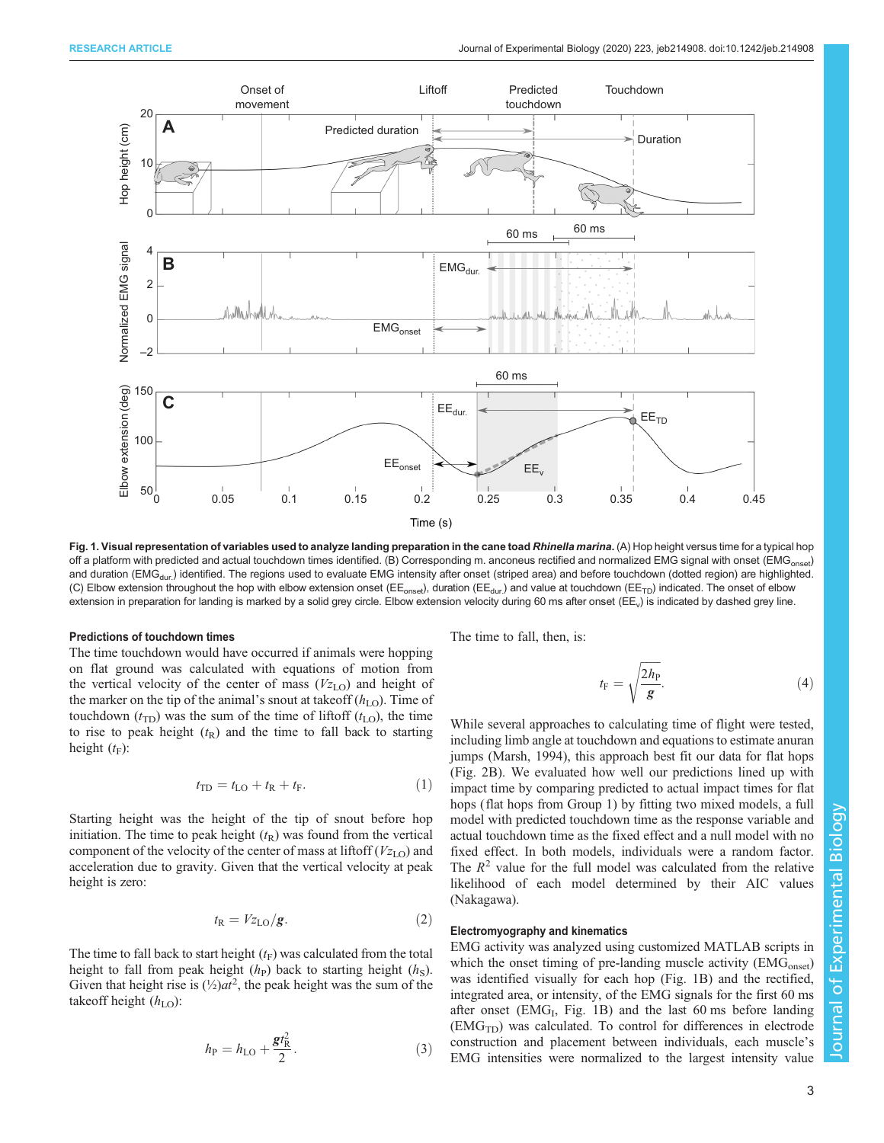<span id="page-2-0"></span>

Fig. 1. Visual representation of variables used to analyze landing preparation in the cane toad Rhinella marina. (A) Hop height versus time for a typical hop off a platform with predicted and actual touchdown times identified. (B) Corresponding m. anconeus rectified and normalized EMG signal with onset (EMG<sub>onset</sub>) and duration (EMG<sub>dur.</sub>) identified. The regions used to evaluate EMG intensity after onset (striped area) and before touchdown (dotted region) are highlighted. (C) Elbow extension throughout the hop with elbow extension onset (EE<sub>onset</sub>), duration (EE<sub>dur.</sub>) and value at touchdown (EE<sub>TD</sub>) indicated. The onset of elbow extension in preparation for landing is marked by a solid grey circle. Elbow extension velocity during 60 ms after onset (EE<sub>v</sub>) is indicated by dashed grey line.

#### Predictions of touchdown times

The time touchdown would have occurred if animals were hopping on flat ground was calculated with equations of motion from the vertical velocity of the center of mass  $(V_{Z<sub>LO</sub>})$  and height of the marker on the tip of the animal's snout at takeoff  $(h<sub>LO</sub>)$ . Time of touchdown  $(t_{\text{TD}})$  was the sum of the time of liftoff  $(t_{\text{LO}})$ , the time to rise to peak height  $(t_R)$  and the time to fall back to starting height  $(t_F)$ :

$$
t_{\rm TD} = t_{\rm LO} + t_{\rm R} + t_{\rm F}.\tag{1}
$$

Starting height was the height of the tip of snout before hop initiation. The time to peak height  $(t_R)$  was found from the vertical component of the velocity of the center of mass at liftoff  $(V_{Z_{\text{LO}}})$  and acceleration due to gravity. Given that the vertical velocity at peak height is zero:

$$
t_{\rm R} = V z_{\rm LO}/g. \tag{2}
$$

The time to fall back to start height  $(t_F)$  was calculated from the total height to fall from peak height  $(h<sub>P</sub>)$  back to starting height  $(h<sub>S</sub>)$ . Given that height rise is  $(\frac{1}{2})at^2$ , the peak height was the sum of the takeoff height  $(h<sub>LO</sub>)$ :

$$
h_{\rm P} = h_{\rm LO} + \frac{gt_{\rm R}^2}{2}.
$$
 (3)

The time to fall, then, is:

$$
t_{\rm F} = \sqrt{\frac{2h_{\rm P}}{g}}.\tag{4}
$$

While several approaches to calculating time of flight were tested, including limb angle at touchdown and equations to estimate anuran jumps [\(Marsh, 1994\)](#page-8-0), this approach best fit our data for flat hops [\(Fig. 2B](#page-3-0)). We evaluated how well our predictions lined up with impact time by comparing predicted to actual impact times for flat hops (flat hops from Group 1) by fitting two mixed models, a full model with predicted touchdown time as the response variable and actual touchdown time as the fixed effect and a null model with no fixed effect. In both models, individuals were a random factor. The  $R<sup>2</sup>$  value for the full model was calculated from the relative likelihood of each model determined by their AIC values (Nakagawa).

## Electromyography and kinematics

EMG activity was analyzed using customized MATLAB scripts in which the onset timing of pre-landing muscle activity  $(EMG<sub>onset</sub>)$ was identified visually for each hop (Fig. 1B) and the rectified, integrated area, or intensity, of the EMG signals for the first 60 ms after onset  $(EMG<sub>I</sub>, Fig. 1B)$  and the last 60 ms before landing  $(EMG<sub>TD</sub>)$  was calculated. To control for differences in electrode construction and placement between individuals, each muscle's EMG intensities were normalized to the largest intensity value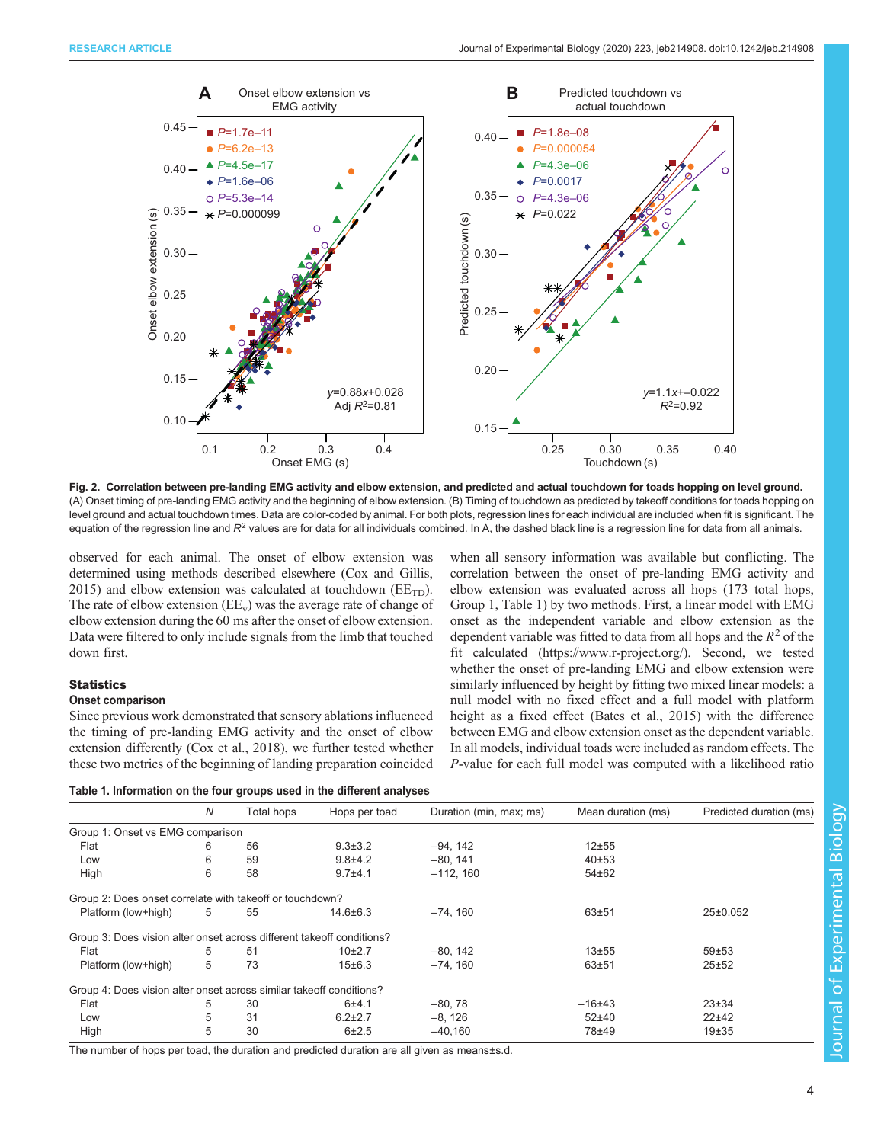<span id="page-3-0"></span>

Fig. 2. Correlation between pre-landing EMG activity and elbow extension, and predicted and actual touchdown for toads hopping on level ground. (A) Onset timing of pre-landing EMG activity and the beginning of elbow extension. (B) Timing of touchdown as predicted by takeoff conditions for toads hopping on level ground and actual touchdown times. Data are color-coded by animal. For both plots, regression lines for each individual are included when fit is significant. The equation of the regression line and  $R^2$  values are for data for all individuals combined. In A, the dashed black line is a regression line for data from all animals.

observed for each animal. The onset of elbow extension was determined using methods described elsewhere [\(Cox and Gillis,](#page-8-0) [2015](#page-8-0)) and elbow extension was calculated at touchdown ( $EE<sub>TD</sub>$ ). The rate of elbow extension  $(EE_v)$  was the average rate of change of elbow extension during the 60 ms after the onset of elbow extension. Data were filtered to only include signals from the limb that touched down first.

# **Statistics**

## Onset comparison

Since previous work demonstrated that sensory ablations influenced the timing of pre-landing EMG activity and the onset of elbow extension differently [\(Cox et al., 2018](#page-8-0)), we further tested whether these two metrics of the beginning of landing preparation coincided

| Table 1. Information on the four groups used in the different analyses |  |  |
|------------------------------------------------------------------------|--|--|
|------------------------------------------------------------------------|--|--|

when all sensory information was available but conflicting. The correlation between the onset of pre-landing EMG activity and elbow extension was evaluated across all hops (173 total hops, Group 1, Table 1) by two methods. First, a linear model with EMG onset as the independent variable and elbow extension as the dependent variable was fitted to data from all hops and the  $R^2$  of the fit calculated [\(https://www.r-project.org/](https://www.r-project.org)). Second, we tested whether the onset of pre-landing EMG and elbow extension were similarly influenced by height by fitting two mixed linear models: a null model with no fixed effect and a full model with platform height as a fixed effect [\(Bates et al., 2015\)](#page-8-0) with the difference between EMG and elbow extension onset as the dependent variable. In all models, individual toads were included as random effects. The P-value for each full model was computed with a likelihood ratio

|                                                                       | N | <b>Total hops</b> | Hops per toad  | Duration (min, max; ms) | Mean duration (ms) | Predicted duration (ms) |
|-----------------------------------------------------------------------|---|-------------------|----------------|-------------------------|--------------------|-------------------------|
| Group 1: Onset vs EMG comparison                                      |   |                   |                |                         |                    |                         |
| Flat                                                                  | 6 | 56                | $9.3 \pm 3.2$  | $-94, 142$              | $12 + 55$          |                         |
| Low                                                                   | 6 | 59                | $9.8 + 4.2$    | $-80, 141$              | 40±53              |                         |
| High                                                                  | 6 | 58                | $9.7 + 4.1$    | $-112, 160$             | $54 + 62$          |                         |
| Group 2: Does onset correlate with takeoff or touchdown?              |   |                   |                |                         |                    |                         |
| Platform (low+high)                                                   | 5 | 55                | $14.6 \pm 6.3$ | $-74, 160$              | $63 + 51$          | $25 \pm 0.052$          |
| Group 3: Does vision alter onset across different takeoff conditions? |   |                   |                |                         |                    |                         |
| Flat                                                                  | 5 | 51                | $10+2.7$       | $-80, 142$              | $13 + 55$          | $59 + 53$               |
| Platform (low+high)                                                   | 5 | 73                | 15±6.3         | $-74.160$               | $63 + 51$          | 25±52                   |
| Group 4: Does vision alter onset across similar takeoff conditions?   |   |                   |                |                         |                    |                         |
| Flat                                                                  | 5 | 30                | 6±4.1          | $-80, 78$               | $-16+43$           | $23 + 34$               |
| Low                                                                   | 5 | 31                | $6.2 \pm 2.7$  | $-8.126$                | $52 + 40$          | $22+42$                 |
| High                                                                  | 5 | 30                | $6 + 2.5$      | $-40,160$               | 78±49              | $19 + 35$               |

The number of hops per toad, the duration and predicted duration are all given as means±s.d.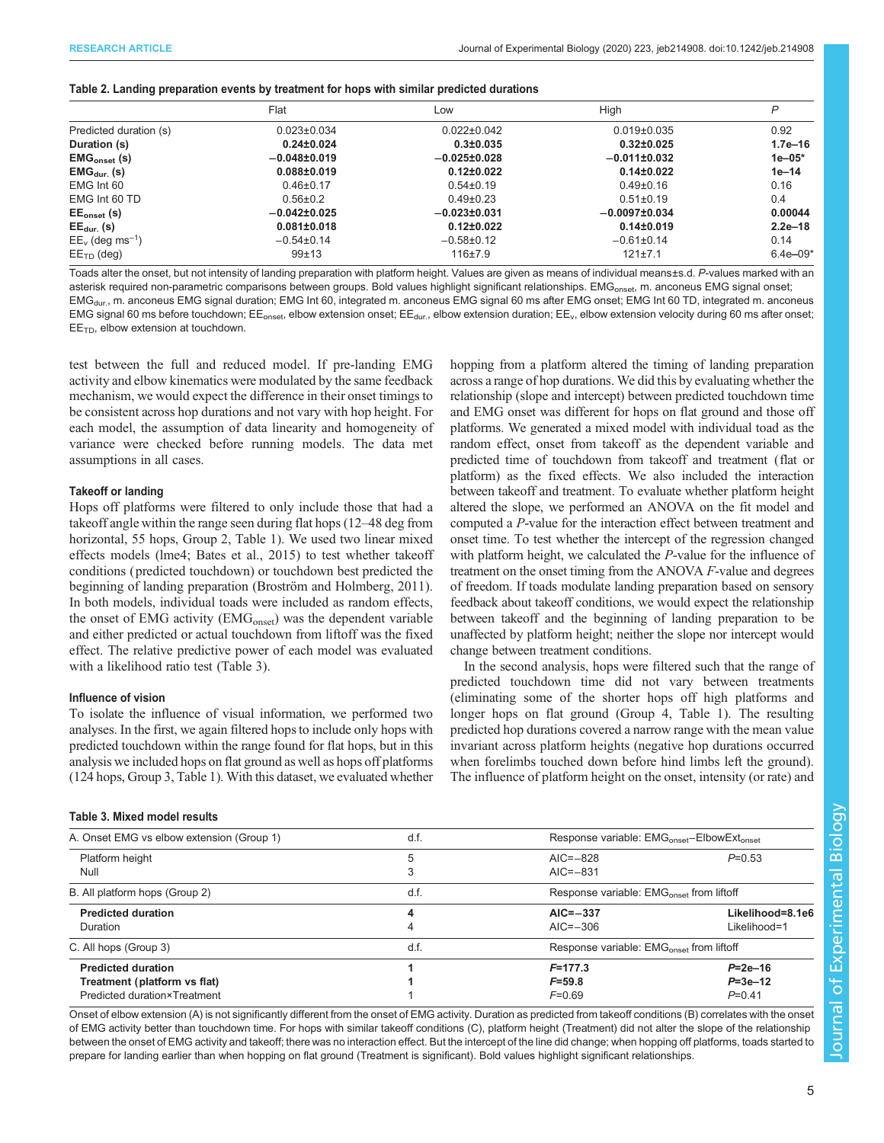<span id="page-4-0"></span>

|                                | Flat              | Low                | High              | P            |
|--------------------------------|-------------------|--------------------|-------------------|--------------|
| Predicted duration (s)         | $0.023 \pm 0.034$ | $0.022 \pm 0.042$  | $0.019 \pm 0.035$ | 0.92         |
| Duration (s)                   | $0.24 \pm 0.024$  | $0.3 \pm 0.035$    | $0.32 \pm 0.025$  | $1.7e - 16$  |
| $EMGonset$ (s)                 | $-0.048\pm0.019$  | $-0.025 \pm 0.028$ | $-0.011\pm0.032$  | $1e - 05*$   |
| $EMG_{dur.}$ (s)               | $0.088 \pm 0.019$ | $0.12 \pm 0.022$   | $0.14 \pm 0.022$  | $1e-14$      |
| EMG Int 60                     | $0.46 \pm 0.17$   | $0.54 \pm 0.19$    | $0.49 \pm 0.16$   | 0.16         |
| EMG Int 60 TD                  | $0.56 \pm 0.2$    | $0.49\pm0.23$      | $0.51 \pm 0.19$   | 0.4          |
| $EE_{onset}$ (s)               | $-0.042\pm0.025$  | $-0.023\pm0.031$   | $-0.0097\pm0.034$ | 0.00044      |
| $EE_{dur.}$ (s)                | $0.081 \pm 0.018$ | $0.12 \pm 0.022$   | $0.14 \pm 0.019$  | $2.2e-18$    |
| $EE_v$ (deg ms <sup>-1</sup> ) | $-0.54\pm0.14$    | $-0.58\pm0.12$     | $-0.61\pm0.14$    | 0.14         |
| $EETD$ (deg)                   | 99±13             | 116±7.9            | $121 \pm 7.1$     | $6.4e - 09*$ |

Toads alter the onset, but not intensity of landing preparation with platform height. Values are given as means of individual means±s.d. P-values marked with an asterisk required non-parametric comparisons between groups. Bold values highlight significant relationships. EMG<sub>onset</sub>, m. anconeus EMG signal onset; EMG<sub>dur.</sub>, m. anconeus EMG signal duration; EMG Int 60, integrated m. anconeus EMG signal 60 ms after EMG onset; EMG Int 60 TD, integrated m. anconeus EMG signal 60 ms before touchdown; EE<sub>onset</sub>, elbow extension onset; EE<sub>dur.</sub>, elbow extension duration; EE<sub>v</sub>, elbow extension velocity during 60 ms after onset;  $EE<sub>TD</sub>$ , elbow extension at touchdown.

test between the full and reduced model. If pre-landing EMG activity and elbow kinematics were modulated by the same feedback mechanism, we would expect the difference in their onset timings to be consistent across hop durations and not vary with hop height. For each model, the assumption of data linearity and homogeneity of variance were checked before running models. The data met assumptions in all cases.

#### Takeoff or landing

Hops off platforms were filtered to only include those that had a takeoff angle within the range seen during flat hops (12–48 deg from horizontal, 55 hops, Group 2, [Table 1\)](#page-3-0). We used two linear mixed effects models (lme4; [Bates et al., 2015](#page-8-0)) to test whether takeoff conditions ( predicted touchdown) or touchdown best predicted the beginning of landing preparation [\(Broström and Holmberg, 2011\)](#page-8-0). In both models, individual toads were included as random effects, the onset of EMG activity (EMG<sub>onset</sub>) was the dependent variable and either predicted or actual touchdown from liftoff was the fixed effect. The relative predictive power of each model was evaluated with a likelihood ratio test (Table 3).

## Influence of vision

To isolate the influence of visual information, we performed two analyses. In the first, we again filtered hops to include only hops with predicted touchdown within the range found for flat hops, but in this analysis we included hops on flat ground as well as hops off platforms (124 hops, Group 3, [Table 1\)](#page-3-0). With this dataset, we evaluated whether

|  |  |  |  | <b>Table 3. Mixed model results</b> |
|--|--|--|--|-------------------------------------|
|--|--|--|--|-------------------------------------|

hopping from a platform altered the timing of landing preparation across a range of hop durations. We did this by evaluating whether the relationship (slope and intercept) between predicted touchdown time and EMG onset was different for hops on flat ground and those off platforms. We generated a mixed model with individual toad as the random effect, onset from takeoff as the dependent variable and predicted time of touchdown from takeoff and treatment (flat or platform) as the fixed effects. We also included the interaction between takeoff and treatment. To evaluate whether platform height altered the slope, we performed an ANOVA on the fit model and computed a P-value for the interaction effect between treatment and onset time. To test whether the intercept of the regression changed with platform height, we calculated the *P*-value for the influence of treatment on the onset timing from the ANOVA F-value and degrees of freedom. If toads modulate landing preparation based on sensory feedback about takeoff conditions, we would expect the relationship between takeoff and the beginning of landing preparation to be unaffected by platform height; neither the slope nor intercept would change between treatment conditions.

In the second analysis, hops were filtered such that the range of predicted touchdown time did not vary between treatments (eliminating some of the shorter hops off high platforms and longer hops on flat ground (Group 4, [Table 1](#page-3-0)). The resulting predicted hop durations covered a narrow range with the mean value invariant across platform heights (negative hop durations occurred when forelimbs touched down before hind limbs left the ground). The influence of platform height on the onset, intensity (or rate) and

| A. Onset EMG vs elbow extension (Group 1) | d.f. | Response variable: EMG <sub>onset</sub> -ElbowExt <sub>onset</sub> |                  |
|-------------------------------------------|------|--------------------------------------------------------------------|------------------|
| Platform height                           | 5    | $AIC = -828$                                                       | $P=0.53$         |
| Null                                      | 3    | $AIC = -831$                                                       |                  |
| B. All platform hops (Group 2)            | d.f. | Response variable: EMG <sub>onset</sub> from liftoff               |                  |
| <b>Predicted duration</b>                 | 4    | $AIC = -337$                                                       | Likelihood=8.1e6 |
| Duration                                  | 4    | $AIC = -306$                                                       | Likelihood=1     |
| C. All hops (Group 3)                     | d.f. | Response variable: EMG <sub>onset</sub> from liftoff               |                  |
| <b>Predicted duration</b>                 |      | $F = 177.3$                                                        | $P = 2e - 16$    |
| Treatment (platform vs flat)              |      | $F = 59.8$                                                         | $P = 3e - 12$    |
| Predicted duration×Treatment              |      | $P=0.41$<br>$F=0.69$                                               |                  |

Onset of elbow extension (A) is not significantly different from the onset of EMG activity. Duration as predicted from takeoff conditions (B) correlates with the onset of EMG activity better than touchdown time. For hops with similar takeoff conditions (C), platform height (Treatment) did not alter the slope of the relationship between the onset of EMG activity and takeoff; there was no interaction effect. But the intercept of the line did change; when hopping off platforms, toads started to prepare for landing earlier than when hopping on flat ground (Treatment is significant). Bold values highlight significant relationships.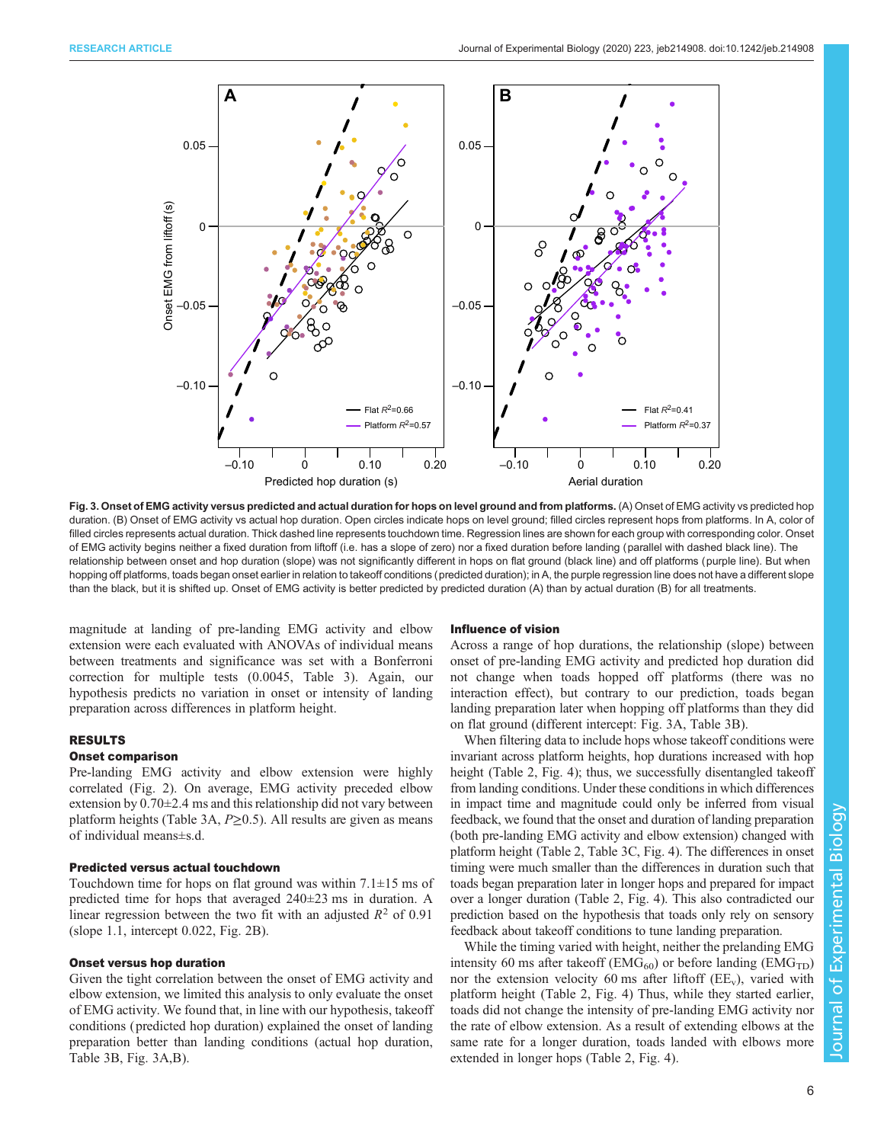

Fig. 3. Onset of EMG activity versus predicted and actual duration for hops on level ground and from platforms. (A) Onset of EMG activity vs predicted hop duration. (B) Onset of EMG activity vs actual hop duration. Open circles indicate hops on level ground; filled circles represent hops from platforms. In A, color of filled circles represents actual duration. Thick dashed line represents touchdown time. Regression lines are shown for each group with corresponding color. Onset of EMG activity begins neither a fixed duration from liftoff (i.e. has a slope of zero) nor a fixed duration before landing (parallel with dashed black line). The relationship between onset and hop duration (slope) was not significantly different in hops on flat ground (black line) and off platforms (purple line). But when hopping off platforms, toads began onset earlier in relation to takeoff conditions (predicted duration); in A, the purple regression line does not have a different slope than the black, but it is shifted up. Onset of EMG activity is better predicted by predicted duration (A) than by actual duration (B) for all treatments.

magnitude at landing of pre-landing EMG activity and elbow extension were each evaluated with ANOVAs of individual means between treatments and significance was set with a Bonferroni correction for multiple tests (0.0045, [Table 3\)](#page-4-0). Again, our hypothesis predicts no variation in onset or intensity of landing preparation across differences in platform height.

# RESULTS

#### Onset comparison

Pre-landing EMG activity and elbow extension were highly correlated ([Fig. 2](#page-3-0)). On average, EMG activity preceded elbow extension by  $0.70\pm2.4$  ms and this relationship did not vary between platform heights [\(Table 3A](#page-4-0),  $P \ge 0.5$ ). All results are given as means of individual means±s.d.

#### Predicted versus actual touchdown

Touchdown time for hops on flat ground was within  $7.1 \pm 15$  ms of predicted time for hops that averaged 240±23 ms in duration. A linear regression between the two fit with an adjusted  $R^2$  of 0.91 (slope 1.1, intercept 0.022, [Fig. 2B](#page-3-0)).

### Onset versus hop duration

Given the tight correlation between the onset of EMG activity and elbow extension, we limited this analysis to only evaluate the onset of EMG activity. We found that, in line with our hypothesis, takeoff conditions ( predicted hop duration) explained the onset of landing preparation better than landing conditions (actual hop duration, [Table 3B](#page-4-0), Fig. 3A,B).

#### Influence of vision

Across a range of hop durations, the relationship (slope) between onset of pre-landing EMG activity and predicted hop duration did not change when toads hopped off platforms (there was no interaction effect), but contrary to our prediction, toads began landing preparation later when hopping off platforms than they did on flat ground (different intercept: Fig. 3A, [Table 3B](#page-4-0)).

When filtering data to include hops whose takeoff conditions were invariant across platform heights, hop durations increased with hop height ([Table 2](#page-4-0), [Fig. 4\)](#page-6-0); thus, we successfully disentangled takeoff from landing conditions. Under these conditions in which differences in impact time and magnitude could only be inferred from visual feedback, we found that the onset and duration of landing preparation (both pre-landing EMG activity and elbow extension) changed with platform height ([Table 2, Table 3](#page-4-0)C, [Fig. 4\)](#page-6-0). The differences in onset timing were much smaller than the differences in duration such that toads began preparation later in longer hops and prepared for impact over a longer duration [\(Table 2,](#page-4-0) [Fig. 4\)](#page-6-0). This also contradicted our prediction based on the hypothesis that toads only rely on sensory feedback about takeoff conditions to tune landing preparation.

While the timing varied with height, neither the prelanding EMG intensity 60 ms after takeoff ( $EMG<sub>60</sub>$ ) or before landing ( $EMG<sub>TD</sub>$ ) nor the extension velocity 60 ms after liftoff  $(EE_{v})$ , varied with platform height ([Table 2,](#page-4-0) [Fig. 4\)](#page-6-0) Thus, while they started earlier, toads did not change the intensity of pre-landing EMG activity nor the rate of elbow extension. As a result of extending elbows at the same rate for a longer duration, toads landed with elbows more extended in longer hops ([Table 2,](#page-4-0) [Fig. 4\)](#page-6-0).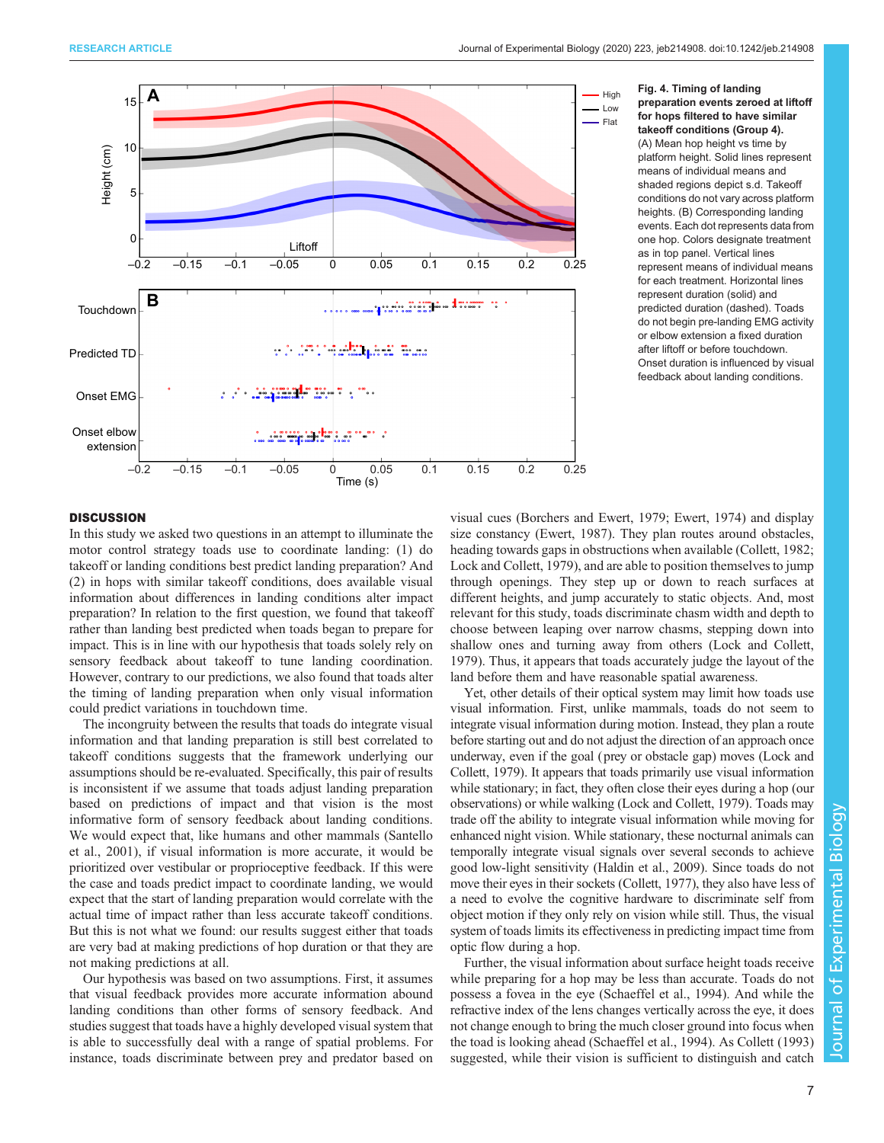<span id="page-6-0"></span>



## **DISCUSSION**

In this study we asked two questions in an attempt to illuminate the motor control strategy toads use to coordinate landing: (1) do takeoff or landing conditions best predict landing preparation? And (2) in hops with similar takeoff conditions, does available visual information about differences in landing conditions alter impact preparation? In relation to the first question, we found that takeoff rather than landing best predicted when toads began to prepare for impact. This is in line with our hypothesis that toads solely rely on sensory feedback about takeoff to tune landing coordination. However, contrary to our predictions, we also found that toads alter the timing of landing preparation when only visual information could predict variations in touchdown time.

The incongruity between the results that toads do integrate visual information and that landing preparation is still best correlated to takeoff conditions suggests that the framework underlying our assumptions should be re-evaluated. Specifically, this pair of results is inconsistent if we assume that toads adjust landing preparation based on predictions of impact and that vision is the most informative form of sensory feedback about landing conditions. We would expect that, like humans and other mammals [\(Santello](#page-8-0) [et al., 2001\)](#page-8-0), if visual information is more accurate, it would be prioritized over vestibular or proprioceptive feedback. If this were the case and toads predict impact to coordinate landing, we would expect that the start of landing preparation would correlate with the actual time of impact rather than less accurate takeoff conditions. But this is not what we found: our results suggest either that toads are very bad at making predictions of hop duration or that they are not making predictions at all.

Our hypothesis was based on two assumptions. First, it assumes that visual feedback provides more accurate information abound landing conditions than other forms of sensory feedback. And studies suggest that toads have a highly developed visual system that is able to successfully deal with a range of spatial problems. For instance, toads discriminate between prey and predator based on

visual cues ([Borchers and Ewert, 1979](#page-8-0); [Ewert, 1974\)](#page-8-0) and display size constancy ([Ewert, 1987\)](#page-8-0). They plan routes around obstacles, heading towards gaps in obstructions when available ([Collett, 1982](#page-8-0); [Lock and Collett, 1979](#page-8-0)), and are able to position themselves to jump through openings. They step up or down to reach surfaces at different heights, and jump accurately to static objects. And, most relevant for this study, toads discriminate chasm width and depth to choose between leaping over narrow chasms, stepping down into shallow ones and turning away from others [\(Lock and Collett,](#page-8-0) [1979\)](#page-8-0). Thus, it appears that toads accurately judge the layout of the land before them and have reasonable spatial awareness.

Yet, other details of their optical system may limit how toads use visual information. First, unlike mammals, toads do not seem to integrate visual information during motion. Instead, they plan a route before starting out and do not adjust the direction of an approach once underway, even if the goal (prey or obstacle gap) moves ([Lock and](#page-8-0) [Collett, 1979](#page-8-0)). It appears that toads primarily use visual information while stationary; in fact, they often close their eyes during a hop (our observations) or while walking ([Lock and Collett, 1979\)](#page-8-0). Toads may trade off the ability to integrate visual information while moving for enhanced night vision. While stationary, these nocturnal animals can temporally integrate visual signals over several seconds to achieve good low-light sensitivity [\(Haldin et al., 2009](#page-8-0)). Since toads do not move their eyes in their sockets [\(Collett, 1977](#page-8-0)), they also have less of a need to evolve the cognitive hardware to discriminate self from object motion if they only rely on vision while still. Thus, the visual system of toads limits its effectiveness in predicting impact time from optic flow during a hop.

Further, the visual information about surface height toads receive while preparing for a hop may be less than accurate. Toads do not possess a fovea in the eye [\(Schaeffel et al., 1994](#page-8-0)). And while the refractive index of the lens changes vertically across the eye, it does not change enough to bring the much closer ground into focus when the toad is looking ahead [\(Schaeffel et al., 1994](#page-8-0)). As [Collett \(1993\)](#page-8-0) suggested, while their vision is sufficient to distinguish and catch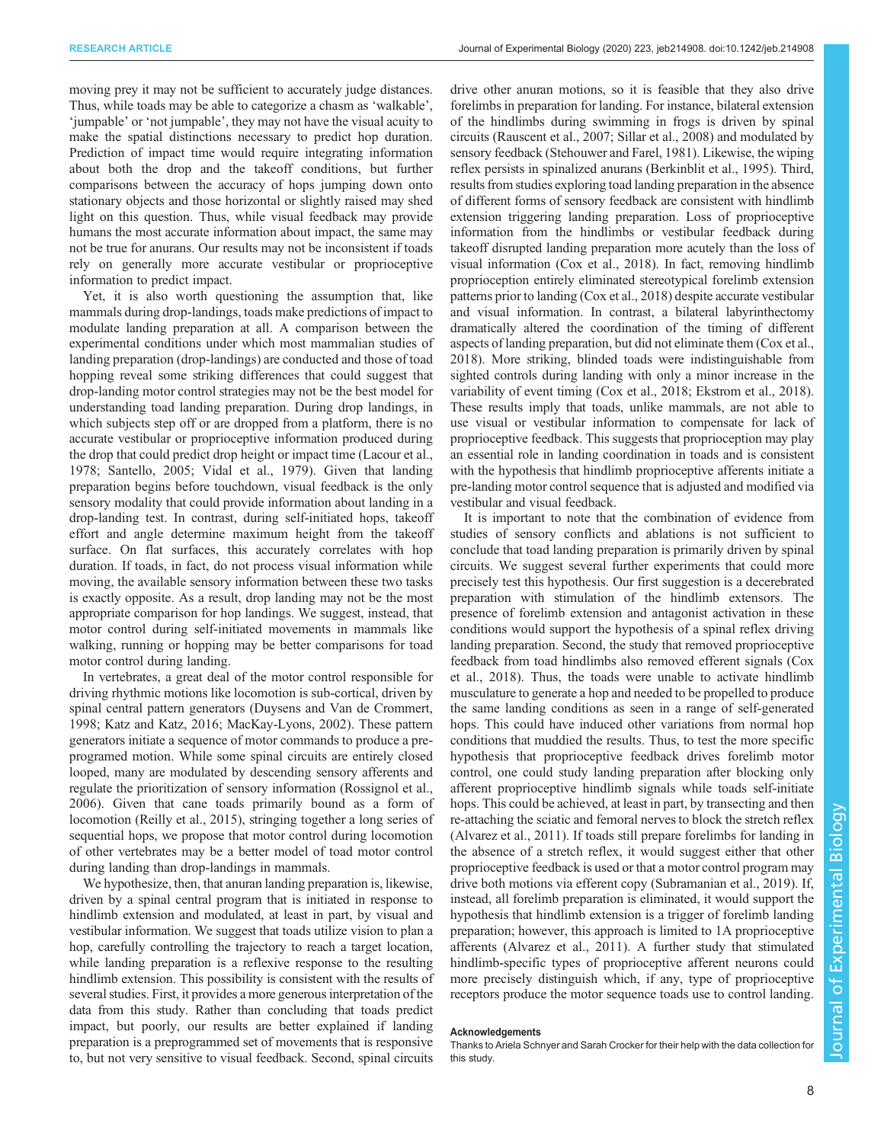moving prey it may not be sufficient to accurately judge distances. Thus, while toads may be able to categorize a chasm as 'walkable', 'jumpable' or 'not jumpable', they may not have the visual acuity to make the spatial distinctions necessary to predict hop duration. Prediction of impact time would require integrating information about both the drop and the takeoff conditions, but further comparisons between the accuracy of hops jumping down onto stationary objects and those horizontal or slightly raised may shed light on this question. Thus, while visual feedback may provide humans the most accurate information about impact, the same may not be true for anurans. Our results may not be inconsistent if toads rely on generally more accurate vestibular or proprioceptive information to predict impact.

Yet, it is also worth questioning the assumption that, like mammals during drop-landings, toads make predictions of impact to modulate landing preparation at all. A comparison between the experimental conditions under which most mammalian studies of landing preparation (drop-landings) are conducted and those of toad hopping reveal some striking differences that could suggest that drop-landing motor control strategies may not be the best model for understanding toad landing preparation. During drop landings, in which subjects step off or are dropped from a platform, there is no accurate vestibular or proprioceptive information produced during the drop that could predict drop height or impact time [\(Lacour et al.,](#page-8-0) [1978](#page-8-0); [Santello, 2005](#page-8-0); [Vidal et al., 1979\)](#page-9-0). Given that landing preparation begins before touchdown, visual feedback is the only sensory modality that could provide information about landing in a drop-landing test. In contrast, during self-initiated hops, takeoff effort and angle determine maximum height from the takeoff surface. On flat surfaces, this accurately correlates with hop duration. If toads, in fact, do not process visual information while moving, the available sensory information between these two tasks is exactly opposite. As a result, drop landing may not be the most appropriate comparison for hop landings. We suggest, instead, that motor control during self-initiated movements in mammals like walking, running or hopping may be better comparisons for toad motor control during landing.

In vertebrates, a great deal of the motor control responsible for driving rhythmic motions like locomotion is sub-cortical, driven by spinal central pattern generators [\(Duysens and Van de Crommert,](#page-8-0) [1998](#page-8-0); [Katz and Katz, 2016; MacKay-Lyons, 2002](#page-8-0)). These pattern generators initiate a sequence of motor commands to produce a preprogramed motion. While some spinal circuits are entirely closed looped, many are modulated by descending sensory afferents and regulate the prioritization of sensory information ([Rossignol et al.,](#page-8-0) [2006](#page-8-0)). Given that cane toads primarily bound as a form of locomotion ([Reilly et al., 2015\)](#page-8-0), stringing together a long series of sequential hops, we propose that motor control during locomotion of other vertebrates may be a better model of toad motor control during landing than drop-landings in mammals.

We hypothesize, then, that anuran landing preparation is, likewise, driven by a spinal central program that is initiated in response to hindlimb extension and modulated, at least in part, by visual and vestibular information. We suggest that toads utilize vision to plan a hop, carefully controlling the trajectory to reach a target location, while landing preparation is a reflexive response to the resulting hindlimb extension. This possibility is consistent with the results of several studies. First, it provides a more generous interpretation of the data from this study. Rather than concluding that toads predict impact, but poorly, our results are better explained if landing preparation is a preprogrammed set of movements that is responsive to, but not very sensitive to visual feedback. Second, spinal circuits drive other anuran motions, so it is feasible that they also drive forelimbs in preparation for landing. For instance, bilateral extension of the hindlimbs during swimming in frogs is driven by spinal circuits [\(Rauscent et al., 2007; Sillar et al., 2008](#page-8-0)) and modulated by sensory feedback ([Stehouwer and Farel, 1981\)](#page-9-0). Likewise, the wiping reflex persists in spinalized anurans ([Berkinblit et al., 1995\)](#page-8-0). Third, results from studies exploring toad landing preparation in the absence of different forms of sensory feedback are consistent with hindlimb extension triggering landing preparation. Loss of proprioceptive information from the hindlimbs or vestibular feedback during takeoff disrupted landing preparation more acutely than the loss of visual information [\(Cox et al., 2018](#page-8-0)). In fact, removing hindlimb proprioception entirely eliminated stereotypical forelimb extension patterns prior to landing ([Cox et al., 2018\)](#page-8-0) despite accurate vestibular and visual information. In contrast, a bilateral labyrinthectomy dramatically altered the coordination of the timing of different aspects of landing preparation, but did not eliminate them ([Cox et al.,](#page-8-0) [2018\)](#page-8-0). More striking, blinded toads were indistinguishable from sighted controls during landing with only a minor increase in the variability of event timing [\(Cox et al., 2018; Ekstrom et al., 2018\)](#page-8-0). These results imply that toads, unlike mammals, are not able to use visual or vestibular information to compensate for lack of proprioceptive feedback. This suggests that proprioception may play an essential role in landing coordination in toads and is consistent with the hypothesis that hindlimb proprioceptive afferents initiate a pre-landing motor control sequence that is adjusted and modified via vestibular and visual feedback.

It is important to note that the combination of evidence from studies of sensory conflicts and ablations is not sufficient to conclude that toad landing preparation is primarily driven by spinal circuits. We suggest several further experiments that could more precisely test this hypothesis. Our first suggestion is a decerebrated preparation with stimulation of the hindlimb extensors. The presence of forelimb extension and antagonist activation in these conditions would support the hypothesis of a spinal reflex driving landing preparation. Second, the study that removed proprioceptive feedback from toad hindlimbs also removed efferent signals [\(Cox](#page-8-0) [et al., 2018\)](#page-8-0). Thus, the toads were unable to activate hindlimb musculature to generate a hop and needed to be propelled to produce the same landing conditions as seen in a range of self-generated hops. This could have induced other variations from normal hop conditions that muddied the results. Thus, to test the more specific hypothesis that proprioceptive feedback drives forelimb motor control, one could study landing preparation after blocking only afferent proprioceptive hindlimb signals while toads self-initiate hops. This could be achieved, at least in part, by transecting and then re-attaching the sciatic and femoral nerves to block the stretch reflex [\(Alvarez et al., 2011](#page-8-0)). If toads still prepare forelimbs for landing in the absence of a stretch reflex, it would suggest either that other proprioceptive feedback is used or that a motor control program may drive both motions via efferent copy [\(Subramanian et al., 2019\)](#page-9-0). If, instead, all forelimb preparation is eliminated, it would support the hypothesis that hindlimb extension is a trigger of forelimb landing preparation; however, this approach is limited to 1A proprioceptive afferents ([Alvarez et al., 2011\)](#page-8-0). A further study that stimulated hindlimb-specific types of proprioceptive afferent neurons could more precisely distinguish which, if any, type of proprioceptive receptors produce the motor sequence toads use to control landing.

## Acknowledgements

Thanks to Ariela Schnyer and Sarah Crocker for their help with the data collection for this study.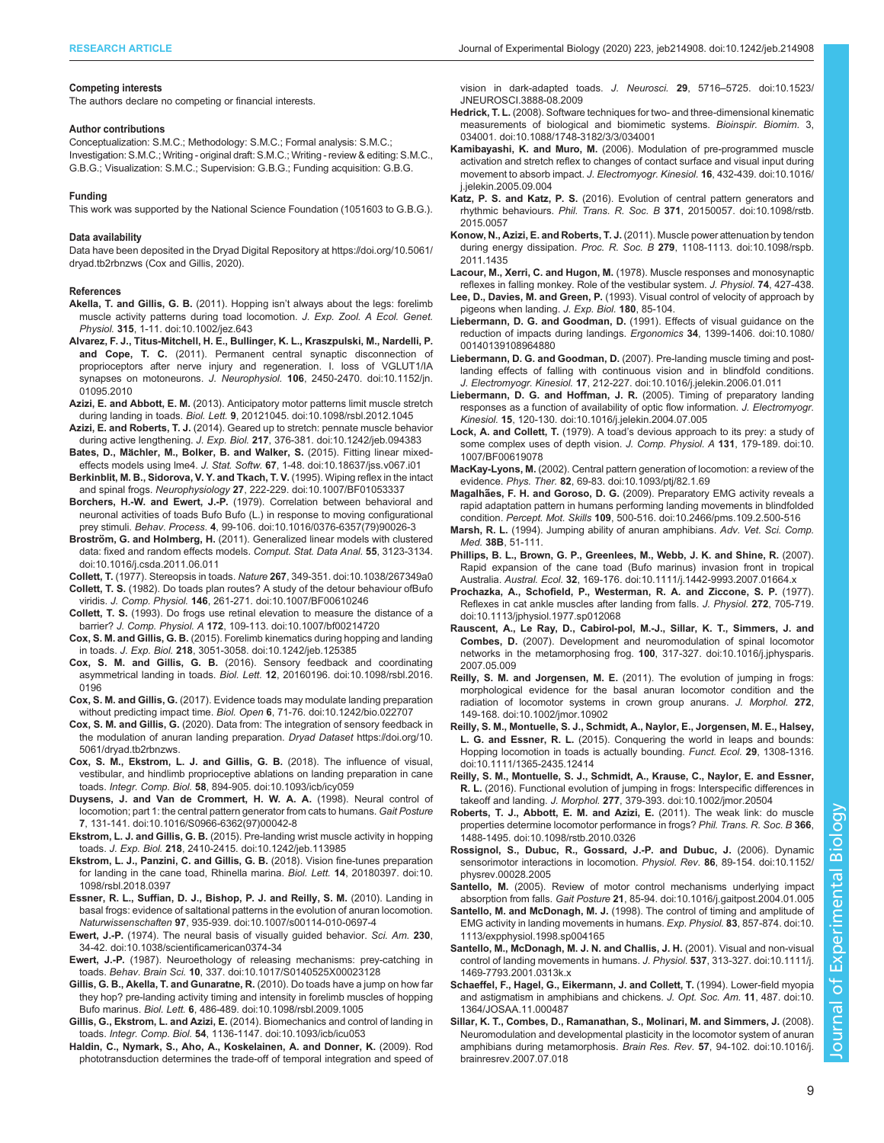#### <span id="page-8-0"></span>Competing interests

The authors declare no competing or financial interests.

#### Author contributions

Conceptualization: S.M.C.; Methodology: S.M.C.; Formal analysis: S.M.C.; Investigation: S.M.C.; Writing - original draft: S.M.C.; Writing - review & editing: S.M.C., G.B.G.; Visualization: S.M.C.; Supervision: G.B.G.; Funding acquisition: G.B.G.

#### Funding

This work was supported by the National Science Foundation (1051603 to G.B.G.).

#### Data availability

Data have been deposited in the Dryad Digital Repository at [https://doi.org/10.5061/](https://doi.org/10.5061/dryad.tb2rbnzws) [dryad.tb2rbnzws](https://doi.org/10.5061/dryad.tb2rbnzws) (Cox and Gillis, 2020).

#### References

- Akella, T. and Gillis, G. B. (2011). Hopping isn'[t always about the legs: forelimb](https://doi.org/10.1002/jez.643) [muscle activity patterns during toad locomotion.](https://doi.org/10.1002/jez.643) J. Exp. Zool. A Ecol. Genet. Physiol. 315[, 1-11. doi:10.1002/jez.643](https://doi.org/10.1002/jez.643)
- [Alvarez, F. J., Titus-Mitchell, H. E., Bullinger, K. L., Kraszpulski, M., Nardelli, P.](https://doi.org/10.1152/jn.01095.2010) and Cope, T. C. [\(2011\). Permanent central synaptic disconnection of](https://doi.org/10.1152/jn.01095.2010) [proprioceptors after nerve injury and regeneration. I. loss of VGLUT1/IA](https://doi.org/10.1152/jn.01095.2010) synapses on motoneurons. J. Neurophysiol. 106[, 2450-2470. doi:10.1152/jn.](https://doi.org/10.1152/jn.01095.2010) [01095.2010](https://doi.org/10.1152/jn.01095.2010)
- Azizi, E. and Abbott, E. M. [\(2013\). Anticipatory motor patterns limit muscle stretch](https://doi.org/10.1098/rsbl.2012.1045) during landing in toads. Biol. Lett. 9[, 20121045. doi:10.1098/rsbl.2012.1045](https://doi.org/10.1098/rsbl.2012.1045)
- Azizi, E. and Roberts, T. J. [\(2014\). Geared up to stretch: pennate muscle behavior](https://doi.org/10.1242/jeb.094383) during active lengthening. J. Exp. Biol. 217[, 376-381. doi:10.1242/jeb.094383](https://doi.org/10.1242/jeb.094383)
- Bates, D., Mä[chler, M., Bolker, B. and Walker, S.](https://doi.org/10.18637/jss.v067.i01) (2015). Fitting linear mixedeffects models using lme4. J. Stat. Softw. 67[, 1-48. doi:10.18637/jss.v067.i01](https://doi.org/10.18637/jss.v067.i01)
- [Berkinblit, M. B., Sidorova, V. Y. and Tkach, T. V.](https://doi.org/10.1007/BF01053337) (1995). Wiping reflex in the intact and spinal frogs. Neurophysiology 27[, 222-229. doi:10.1007/BF01053337](https://doi.org/10.1007/BF01053337)
- Borchers, H.-W. and Ewert, J.-P. [\(1979\). Correlation between behavioral and](https://doi.org/10.1016/0376-6357(79)90026-3) [neuronal activities of toads Bufo Bufo \(L.\) in response to moving configurational](https://doi.org/10.1016/0376-6357(79)90026-3) prey stimuli. Behav. Process. 4[, 99-106. doi:10.1016/0376-6357\(79\)90026-3](https://doi.org/10.1016/0376-6357(79)90026-3)
- Broström, G. and Holmberg, H. [\(2011\). Generalized linear models with clustered](https://doi.org/10.1016/j.csda.2011.06.011) [data: fixed and random effects models.](https://doi.org/10.1016/j.csda.2011.06.011) Comput. Stat. Data Anal. 55, 3123-3134. [doi:10.1016/j.csda.2011.06.011](https://doi.org/10.1016/j.csda.2011.06.011)
- Collett, T. (1977). Stereopsis in toads. Nature 267[, 349-351. doi:10.1038/267349a0](https://doi.org/10.1038/267349a0)
- Collett, T. S. [\(1982\). Do toads plan routes? A study of the detour behaviour ofBufo](https://doi.org/10.1007/BF00610246) viridis. J. Comp. Physiol. 146[, 261-271. doi:10.1007/BF00610246](https://doi.org/10.1007/BF00610246)
- Collett, T. S. [\(1993\). Do frogs use retinal elevation to measure the distance of a](https://doi.org/10.1007/bf00214720) barrier? J. Comp. Physiol. A 172[, 109-113. doi:10.1007/bf00214720](https://doi.org/10.1007/bf00214720)
- Cox, S. M. and Gillis, G. B. [\(2015\). Forelimb kinematics during hopping and landing](https://doi.org/10.1242/jeb.125385) in toads. J. Exp. Biol. 218[, 3051-3058. doi:10.1242/jeb.125385](https://doi.org/10.1242/jeb.125385)
- Cox, S. M. and Gillis, G. B. [\(2016\). Sensory feedback and coordinating](https://doi.org/10.1098/rsbl.2016.0196) asymmetrical landing in toads. Biol. Lett. 12[, 20160196. doi:10.1098/rsbl.2016.](https://doi.org/10.1098/rsbl.2016.0196) [0196](https://doi.org/10.1098/rsbl.2016.0196)
- Cox, S. M. and Gillis, G. [\(2017\). Evidence toads may modulate landing preparation](https://doi.org/10.1242/bio.022707) without predicting impact time. Biol. Open 6[, 71-76. doi:10.1242/bio.022707](https://doi.org/10.1242/bio.022707)
- Cox, S. M. and Gillis, G. [\(2020\). Data from: The integration of sensory feedback in](https://doi.org/10.5061/dryad.tb2rbnzws) [the modulation of anuran landing preparation.](https://doi.org/10.5061/dryad.tb2rbnzws) Dryad Dataset https://doi.org/10. [5061/dryad.tb2rbnzws.](https://doi.org/10.5061/dryad.tb2rbnzws)
- [Cox, S. M., Ekstrom, L. J. and Gillis, G. B.](https://doi.org/10.1093/icb/icy059) (2018). The influence of visual, [vestibular, and hindlimb proprioceptive ablations on landing preparation in cane](https://doi.org/10.1093/icb/icy059) toads. Integr. Comp. Biol. 58[, 894-905. doi:10.1093/icb/icy059](https://doi.org/10.1093/icb/icy059)
- [Duysens, J. and Van de Crommert, H. W. A. A.](https://doi.org/10.1016/S0966-6362(97)00042-8) (1998). Neural control of [locomotion; part 1: the central pattern generator from cats to humans.](https://doi.org/10.1016/S0966-6362(97)00042-8) Gait Posture 7[, 131-141. doi:10.1016/S0966-6362\(97\)00042-8](https://doi.org/10.1016/S0966-6362(97)00042-8)
- Ekstrom, L. J. and Gillis, G. B. [\(2015\). Pre-landing wrist muscle activity in hopping](https://doi.org/10.1242/jeb.113985) toads. J. Exp. Biol. 218[, 2410-2415. doi:10.1242/jeb.113985](https://doi.org/10.1242/jeb.113985)
- [Ekstrom, L. J., Panzini, C. and Gillis, G. B.](https://doi.org/10.1098/rsbl.2018.0397) (2018). Vision fine-tunes preparation [for landing in the cane toad, Rhinella marina.](https://doi.org/10.1098/rsbl.2018.0397) Biol. Lett. 14, 20180397. doi:10. [1098/rsbl.2018.0397](https://doi.org/10.1098/rsbl.2018.0397)
- [Essner, R. L., Suffian, D. J., Bishop, P. J. and Reilly, S. M.](https://doi.org/10.1007/s00114-010-0697-4) (2010). Landing in [basal frogs: evidence of saltational patterns in the evolution of anuran locomotion.](https://doi.org/10.1007/s00114-010-0697-4) Naturwissenschaften 97[, 935-939. doi:10.1007/s00114-010-0697-4](https://doi.org/10.1007/s00114-010-0697-4)
- Ewert, J.-P. [\(1974\). The neural basis of visually guided behavior.](https://doi.org/10.1038/scientificamerican0374-34) Sci. Am. 230, [34-42. doi:10.1038/scientificamerican0374-34](https://doi.org/10.1038/scientificamerican0374-34)
- Ewert, J.-P. [\(1987\). Neuroethology of releasing mechanisms: prey-catching in](https://doi.org/10.1017/S0140525X00023128) toads. Behav. Brain Sci. 10[, 337. doi:10.1017/S0140525X00023128](https://doi.org/10.1017/S0140525X00023128)
- [Gillis, G. B., Akella, T. and Gunaratne, R.](https://doi.org/10.1098/rsbl.2009.1005) (2010). Do toads have a jump on how far [they hop? pre-landing activity timing and intensity in forelimb muscles of hopping](https://doi.org/10.1098/rsbl.2009.1005) Bufo marinus. Biol. Lett. 6[, 486-489. doi:10.1098/rsbl.2009.1005](https://doi.org/10.1098/rsbl.2009.1005)
- Gillis, G., Ekstrom, L. and Azizi, E. [\(2014\). Biomechanics and control of landing in](https://doi.org/10.1093/icb/icu053) toads. Integr. Comp. Biol. 54[, 1136-1147. doi:10.1093/icb/icu053](https://doi.org/10.1093/icb/icu053)
- [Haldin, C., Nymark, S., Aho, A., Koskelainen, A. and Donner, K.](https://doi.org/10.1523/JNEUROSCI.3888-08.2009) (2009). Rod [phototransduction determines the trade-off of temporal integration and speed of](https://doi.org/10.1523/JNEUROSCI.3888-08.2009)

[vision in dark-adapted toads.](https://doi.org/10.1523/JNEUROSCI.3888-08.2009) J. Neurosci. 29, 5716–5725. doi:10.1523/ [JNEUROSCI.3888-08.2009](https://doi.org/10.1523/JNEUROSCI.3888-08.2009)

- Hedrick, T. L. [\(2008\). Software techniques for two- and three-dimensional kinematic](https://doi.org/10.1088/1748-3182/3/3/034001) [measurements of biological and biomimetic systems.](https://doi.org/10.1088/1748-3182/3/3/034001) Bioinspir. Biomim. 3, [034001. doi:10.1088/1748-3182/3/3/034001](https://doi.org/10.1088/1748-3182/3/3/034001)
- Kamibayashi, K. and Muro, M. [\(2006\). Modulation of pre-programmed muscle](https://doi.org/10.1016/j.jelekin.2005.09.004) [activation and stretch reflex to changes of contact surface and visual input during](https://doi.org/10.1016/j.jelekin.2005.09.004) [movement to absorb impact.](https://doi.org/10.1016/j.jelekin.2005.09.004) J. Electromyogr. Kinesiol. 16, 432-439. doi:10.1016/ [j.jelekin.2005.09.004](https://doi.org/10.1016/j.jelekin.2005.09.004)
- Katz, P. S. and Katz, P. S. [\(2016\). Evolution of central pattern generators and](https://doi.org/10.1098/rstb.2015.0057) rhythmic behaviours. Phil. Trans. R. Soc. B 371[, 20150057. doi:10.1098/rstb.](https://doi.org/10.1098/rstb.2015.0057) [2015.0057](https://doi.org/10.1098/rstb.2015.0057)
- Konow, N., Azizi, E. and Roberts, T. J. [\(2011\). Muscle power attenuation by tendon](https://doi.org/10.1098/rspb.2011.1435) during energy dissipation. Proc. R. Soc. B 279[, 1108-1113. doi:10.1098/rspb.](https://doi.org/10.1098/rspb.2011.1435) [2011.1435](https://doi.org/10.1098/rspb.2011.1435)
- Lacour, M., Xerri, C. and Hugon, M. (1978). Muscle responses and monosynaptic reflexes in falling monkey. Role of the vestibular system. J. Physiol. 74, 427-438.
- Lee, D., Davies, M. and Green, P. (1993). Visual control of velocity of approach by pigeons when landing. J. Exp. Biol. 180, 85-104.
- Liebermann, D. G. and Goodman, D. [\(1991\). Effects of visual guidance on the](https://doi.org/10.1080/00140139108964880) [reduction of impacts during landings.](https://doi.org/10.1080/00140139108964880) Ergonomics 34, 1399-1406. doi:10.1080/ [00140139108964880](https://doi.org/10.1080/00140139108964880)
- Liebermann, D. G. and Goodman, D. [\(2007\). Pre-landing muscle timing and post](https://doi.org/10.1016/j.jelekin.2006.01.011)[landing effects of falling with continuous vision and in blindfold conditions.](https://doi.org/10.1016/j.jelekin.2006.01.011) J. Electromyogr. Kinesiol. 17[, 212-227. doi:10.1016/j.jelekin.2006.01.011](https://doi.org/10.1016/j.jelekin.2006.01.011)
- [Liebermann, D. G. and Hoffman, J. R.](https://doi.org/10.1016/j.jelekin.2004.07.005) (2005). Timing of preparatory landing [responses as a function of availability of optic flow information.](https://doi.org/10.1016/j.jelekin.2004.07.005) J. Electromyogr. Kinesiol. 15[, 120-130. doi:10.1016/j.jelekin.2004.07.005](https://doi.org/10.1016/j.jelekin.2004.07.005)
- Lock, A. and Collett, T. (1979). A toad'[s devious approach to its prey: a study of](https://doi.org/10.1007/BF00619078) [some complex uses of depth vision.](https://doi.org/10.1007/BF00619078) J. Comp. Physiol. A 131, 179-189. doi:10. [1007/BF00619078](https://doi.org/10.1007/BF00619078)
- MacKay-Lyons, M. [\(2002\). Central pattern generation of locomotion: a review of the](https://doi.org/10.1093/ptj/82.1.69) evidence. Phys. Ther. 82[, 69-83. doi:10.1093/ptj/82.1.69](https://doi.org/10.1093/ptj/82.1.69)
- Magalhães, F. H. and Goroso, D. G. [\(2009\). Preparatory EMG activity reveals a](https://doi.org/10.2466/pms.109.2.500-516) [rapid adaptation pattern in humans performing landing movements in blindfolded](https://doi.org/10.2466/pms.109.2.500-516) condition. Percept. Mot. Skills 109[, 500-516. doi:10.2466/pms.109.2.500-516](https://doi.org/10.2466/pms.109.2.500-516)
- Marsh, R. L. (1994). Jumping ability of anuran amphibians. Adv. Vet. Sci. Comp. Med. 38B, 51-111.
- [Phillips, B. L., Brown, G. P., Greenlees, M., Webb, J. K. and Shine, R.](https://doi.org/10.1111/j.1442-9993.2007.01664.x) (2007). [Rapid expansion of the cane toad \(Bufo marinus\) invasion front in tropical](https://doi.org/10.1111/j.1442-9993.2007.01664.x) Australia. Austral. Ecol. 32[, 169-176. doi:10.1111/j.1442-9993.2007.01664.x](https://doi.org/10.1111/j.1442-9993.2007.01664.x)
- [Prochazka, A., Schofield, P., Westerman, R. A. and Ziccone, S. P.](https://doi.org/10.1113/jphysiol.1977.sp012068) (1977). [Reflexes in cat ankle muscles after landing from falls.](https://doi.org/10.1113/jphysiol.1977.sp012068) J. Physiol. 272, 705-719. [doi:10.1113/jphysiol.1977.sp012068](https://doi.org/10.1113/jphysiol.1977.sp012068)
- [Rauscent, A., Le Ray, D., Cabirol-pol, M.-J., Sillar, K. T., Simmers, J. and](https://doi.org/10.1016/j.jphysparis.2007.05.009) Combes, D. [\(2007\). Development and neuromodulation of spinal locomotor](https://doi.org/10.1016/j.jphysparis.2007.05.009) [networks in the metamorphosing frog.](https://doi.org/10.1016/j.jphysparis.2007.05.009) 100, 317-327. doi:10.1016/j.jphysparis. [2007.05.009](https://doi.org/10.1016/j.jphysparis.2007.05.009)
- Reilly, S. M. and Jorgensen, M. E. [\(2011\). The evolution of jumping in frogs:](https://doi.org/10.1002/jmor.10902) [morphological evidence for the basal anuran locomotor condition and the](https://doi.org/10.1002/jmor.10902) [radiation of locomotor systems in crown group anurans.](https://doi.org/10.1002/jmor.10902) J. Morphol. 272, [149-168. doi:10.1002/jmor.10902](https://doi.org/10.1002/jmor.10902)
- [Reilly, S. M., Montuelle, S. J., Schmidt, A., Naylor, E., Jorgensen, M. E., Halsey,](https://doi.org/10.1111/1365-2435.12414) L. G. and Essner, R. L. [\(2015\). Conquering the world in leaps and bounds:](https://doi.org/10.1111/1365-2435.12414) [Hopping locomotion in toads is actually bounding.](https://doi.org/10.1111/1365-2435.12414) Funct. Ecol. 29, 1308-1316. [doi:10.1111/1365-2435.12414](https://doi.org/10.1111/1365-2435.12414)
- [Reilly, S. M., Montuelle, S. J., Schmidt, A., Krause, C., Naylor, E. and Essner,](https://doi.org/10.1002/jmor.20504) R. L. [\(2016\). Functional evolution of jumping in frogs: Interspecific differences in](https://doi.org/10.1002/jmor.20504) takeoff and landing. J. Morphol. 277[, 379-393. doi:10.1002/jmor.20504](https://doi.org/10.1002/jmor.20504)
- [Roberts, T. J., Abbott, E. M. and Azizi, E.](https://doi.org/10.1098/rstb.2010.0326) (2011). The weak link: do muscle [properties determine locomotor performance in frogs?](https://doi.org/10.1098/rstb.2010.0326) Phil. Trans. R. Soc. B 366, [1488-1495. doi:10.1098/rstb.2010.0326](https://doi.org/10.1098/rstb.2010.0326)
- [Rossignol, S., Dubuc, R., Gossard, J.-P. and Dubuc, J.](https://doi.org/10.1152/physrev.00028.2005) (2006). Dynamic [sensorimotor interactions in locomotion.](https://doi.org/10.1152/physrev.00028.2005) Physiol. Rev. 86, 89-154. doi:10.1152/ [physrev.00028.2005](https://doi.org/10.1152/physrev.00028.2005)
- Santello, M. [\(2005\). Review of motor control mechanisms underlying impact](https://doi.org/10.1016/j.gaitpost.2004.01.005) absorption from falls. Gait Posture 21[, 85-94. doi:10.1016/j.gaitpost.2004.01.005](https://doi.org/10.1016/j.gaitpost.2004.01.005)
- Santello, M. and McDonagh, M. J. [\(1998\). The control of timing and amplitude of](https://doi.org/10.1113/expphysiol.1998.sp004165) [EMG activity in landing movements in humans.](https://doi.org/10.1113/expphysiol.1998.sp004165) Exp. Physiol. 83, 857-874. doi:10. [1113/expphysiol.1998.sp004165](https://doi.org/10.1113/expphysiol.1998.sp004165)
- [Santello, M., McDonagh, M. J. N. and Challis, J. H.](https://doi.org/10.1111/j.1469-7793.2001.0313k.x) (2001). Visual and non-visual [control of landing movements in humans.](https://doi.org/10.1111/j.1469-7793.2001.0313k.x) J. Physiol. 537, 313-327. doi:10.1111/j. [1469-7793.2001.0313k.x](https://doi.org/10.1111/j.1469-7793.2001.0313k.x)
- [Schaeffel, F., Hagel, G., Eikermann, J. and Collett, T.](https://doi.org/10.1364/JOSAA.11.000487) (1994). Lower-field myopia [and astigmatism in amphibians and chickens.](https://doi.org/10.1364/JOSAA.11.000487) J. Opt. Soc. Am. 11, 487. doi:10. [1364/JOSAA.11.000487](https://doi.org/10.1364/JOSAA.11.000487)
- [Sillar, K. T., Combes, D., Ramanathan, S., Molinari, M. and Simmers, J.](https://doi.org/10.1016/j.brainresrev.2007.07.018) (2008). [Neuromodulation and developmental plasticity in the locomotor system of anuran](https://doi.org/10.1016/j.brainresrev.2007.07.018) [amphibians during metamorphosis.](https://doi.org/10.1016/j.brainresrev.2007.07.018) Brain Res. Rev. 57, 94-102. doi:10.1016/j. [brainresrev.2007.07.018](https://doi.org/10.1016/j.brainresrev.2007.07.018)